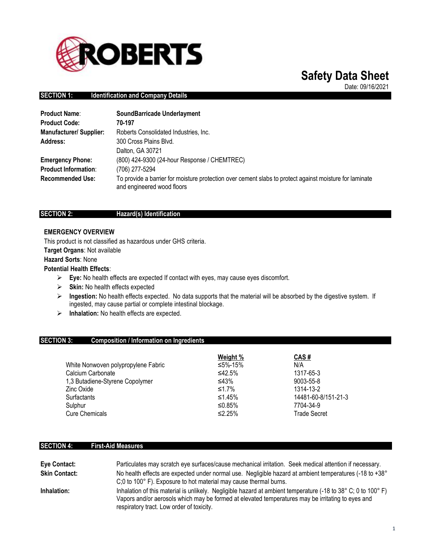

# **Safety Data Sheet**

Date: 09/16/2021

#### **SECTION 1: Identification and Company Details**

| <b>Product Name:</b>           | SoundBarricade Underlayment                                                                                                           |
|--------------------------------|---------------------------------------------------------------------------------------------------------------------------------------|
| <b>Product Code:</b>           | 70-197                                                                                                                                |
| <b>Manufacturer/ Supplier:</b> | Roberts Consolidated Industries, Inc.                                                                                                 |
| Address:                       | 300 Cross Plains Blvd.                                                                                                                |
|                                | Dalton, GA 30721                                                                                                                      |
| <b>Emergency Phone:</b>        | (800) 424-9300 (24-hour Response / CHEMTREC)                                                                                          |
| <b>Product Information:</b>    | (706) 277-5294                                                                                                                        |
| <b>Recommended Use:</b>        | To provide a barrier for moisture protection over cement slabs to protect against moisture for laminate<br>and engineered wood floors |

### **SECTION 2: Hazard(s) Identification**

#### **EMERGENCY OVERVIEW**

This product is not classified as hazardous under GHS criteria. **Target Organs**: Not available

**Hazard Sorts**: None

**Potential Health Effects**:

- **Eye:** No health effects are expected If contact with eyes, may cause eyes discomfort.
- **►** Skin: No health effects expected
- **Ingestion:** No health effects expected. No data supports that the material will be absorbed by the digestive system. If ingested, may cause partial or complete intestinal blockage.
- **Inhalation:** No health effects are expected.

### **SECTION 3: Composition / Information on Ingredients**

| White Nonwoven polypropylene Fabric<br>Calcium Carbonate<br>1,3 Butadiene-Styrene Copolymer<br>Zinc Oxide<br>Surfactants<br>Sulphur<br><b>Cure Chemicals</b> | Weight %<br>≤5%-15%<br>≤42.5%<br>≤43%<br>≤1.7%<br>≤1.45%<br>≤0.85%<br>≤2.25% | CAS#<br>N/A<br>1317-65-3<br>9003-55-8<br>1314-13-2<br>14481-60-8/151-21-3<br>7704-34-9<br><b>Trade Secret</b> |
|--------------------------------------------------------------------------------------------------------------------------------------------------------------|------------------------------------------------------------------------------|---------------------------------------------------------------------------------------------------------------|
|                                                                                                                                                              |                                                                              |                                                                                                               |

#### **SECTION 4: First-Aid Measures**

| Eye Contact:         | Particulates may scratch eye surfaces/cause mechanical irritation. Seek medical attention if necessary.                                                                                                                                                         |  |
|----------------------|-----------------------------------------------------------------------------------------------------------------------------------------------------------------------------------------------------------------------------------------------------------------|--|
| <b>Skin Contact:</b> | No health effects are expected under normal use. Negligible hazard at ambient temperatures (-18 to +38 $^{\circ}$ )<br>C;0 to 100° F). Exposure to hot material may cause thermal burns.                                                                        |  |
| Inhalation:          | Inhalation of this material is unlikely. Negligible hazard at ambient temperature (-18 to 38° C; 0 to 100° F)<br>Vapors and/or aerosols which may be formed at elevated temperatures may be irritating to eyes and<br>respiratory tract. Low order of toxicity. |  |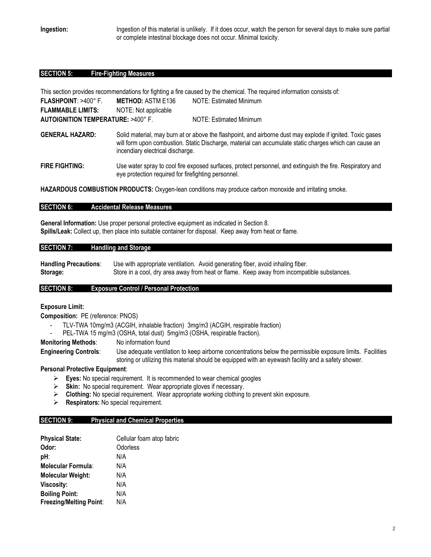### **SECTION 5: Fire-Fighting Measures**

This section provides recommendations for fighting a fire caused by the chemical. The required information consists of: **FLASHPOINT**: >400° F. **METHOD:** ASTM E136 NOTE: Estimated Minimum **FLAMMABLE LIMITS:** NOTE: Not applicable **AUTOIGNITION TEMPERATURE:** >400° F. NOTE: Estimated Minimum **GENERAL HAZARD:** Solid material, may burn at or above the flashpoint, and airborne dust may explode if ignited. Toxic gases will form upon combustion. Static Discharge, material can accumulate static charges which can cause an incendiary electrical discharge. FIRE FIGHTING: Use water spray to cool fire exposed surfaces, protect personnel, and extinguish the fire. Respiratory and eye protection required for firefighting personnel.

**HAZARDOUS COMBUSTION PRODUCTS:** Oxygen-lean conditions may produce carbon monoxide and irritating smoke.

#### **SECTION 6: Accidental Release Measures**

**General Information:** Use proper personal protective equipment as indicated in Section 8. **Spills/Leak:** Collect up, then place into suitable container for disposal. Keep away from heat or flame.

#### **SECTION 7: Handling and Storage**

**Handling Precautions**: Use with appropriate ventilation. Avoid generating fiber, avoid inhaling fiber. **Storage:** Store in a cool, dry area away from heat or flame. Keep away from incompatible substances.

#### **SECTION 8: Exposure Control / Personal Protection**

#### **Exposure Limit:**

**Composition:** PE (reference: PNOS)

- TLV-TWA 10mg/m3 (ACGIH, inhalable fraction) 3mg/m3 (ACGIH, respirable fraction)
- PEL-TWA 15 mg/m3 (OSHA, total dust) 5mg/m3 (OSHA, respirable fraction).

**Monitoring Methods:** No information found

**Engineering Controls**: Use adequate ventilation to keep airborne concentrations below the permissible exposure limits. Facilities storing or utilizing this material should be equipped with an eyewash facility and a safety shower.

#### **Personal Protective Equipment**:

- **Eyes:** No special requirement. It is recommended to wear chemical googles
- **Skin:** No special requirement. Wear appropriate gloves if necessary.
- **Clothing:** No special requirement. Wear appropriate working clothing to prevent skin exposure.
- **Respirators:** No special requirement.

#### **SECTION 9: Physical and Chemical Properties**

| <b>Physical State:</b>         | Cellular foam atop fabric |
|--------------------------------|---------------------------|
| Odor:                          | Odorless                  |
| pH:                            | N/A                       |
| <b>Molecular Formula:</b>      | N/A                       |
| <b>Molecular Weight:</b>       | N/A                       |
| <b>Viscosity:</b>              | N/A                       |
| <b>Boiling Point:</b>          | N/A                       |
| <b>Freezing/Melting Point:</b> | N/A                       |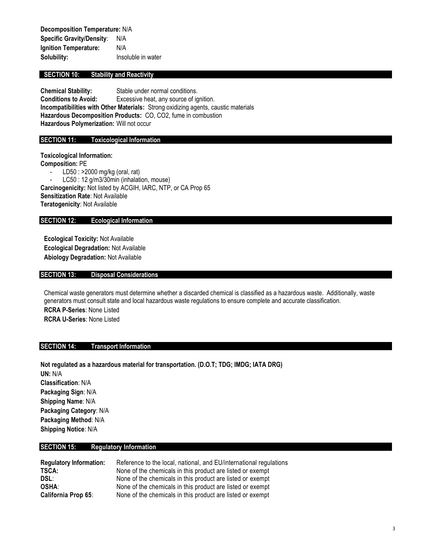**Decomposition Temperature:** N/A **Specific Gravity/Density**: N/A **Ignition Temperature:** N/A **Solubility:** Insoluble in water

# **SECTION 10: Stability and Reactivity**

**Chemical Stability:** Stable under normal conditions. **Conditions to Avoid:** Excessive heat, any source of ignition. **Incompatibilities with Other Materials:** Strong oxidizing agents, caustic materials **Hazardous Decomposition Products:** CO, CO2, fume in combustion **Hazardous Polymerization:** Will not occur

#### **SECTION 11: Toxicological Information**

**Toxicological Information:**

**Composition:** PE

- LD50 : >2000 mg/kg (oral, rat) LC50 : 12 g/m3/30min (inhalation, mouse) **Carcinogenicity:** Not listed by ACGIH, IARC, NTP, or CA Prop 65 **Sensitization Rate**: Not Available **Teratogenicity**: Not Available

#### **SECTION 12: Ecological Information**

**Ecological Toxicity:** Not Available **Ecological Degradation:** Not Available **Abiology Degradation:** Not Available

## **SECTION 13: Disposal Considerations**

Chemical waste generators must determine whether a discarded chemical is classified as a hazardous waste. Additionally, waste generators must consult state and local hazardous waste regulations to ensure complete and accurate classification.

**RCRA P-Series**: None Listed **RCRA U-Series**: None Listed

#### **SECTION 14: Transport Information**

**Not regulated as a hazardous material for transportation. (D.O.T; TDG; IMDG; IATA DRG) UN:** N/A **Classification**: N/A **Packaging Sign**: N/A **Shipping Name**: N/A **Packaging Category**: N/A **Packaging Method**: N/A **Shipping Notice**: N/A

#### **SECTION 15: Regulatory Information**

| <b>Regulatory Information:</b> | Reference to the local, national, and EU/international regulations |
|--------------------------------|--------------------------------------------------------------------|
| TSCA:                          | None of the chemicals in this product are listed or exempt         |
| DSL:                           | None of the chemicals in this product are listed or exempt         |
| <b>OSHA:</b>                   | None of the chemicals in this product are listed or exempt         |
| California Prop 65:            | None of the chemicals in this product are listed or exempt         |